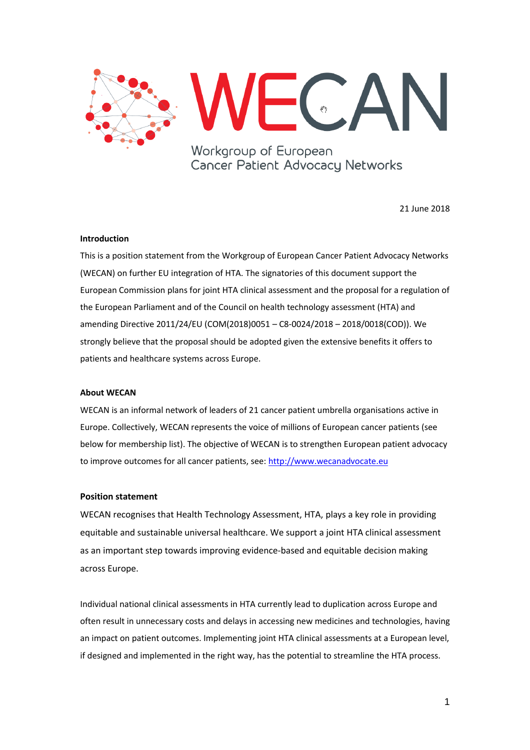

Workgroup of European Cancer Patient Advocacy Networks

21 June 2018

## **Introduction**

This is a position statement from the Workgroup of European Cancer Patient Advocacy Networks (WECAN) on further EU integration of HTA. The signatories of this document support the European Commission plans for joint HTA clinical assessment and the proposal for a regulation of the European Parliament and of the Council on health technology assessment (HTA) and amending Directive 2011/24/EU (COM(2018)0051 – C8-0024/2018 – 2018/0018(COD)). We strongly believe that the proposal should be adopted given the extensive benefits it offers to patients and healthcare systems across Europe.

## **About WECAN**

WECAN is an informal network of leaders of 21 cancer patient umbrella organisations active in Europe. Collectively, WECAN represents the voice of millions of European cancer patients (see below for membership list). The objective of WECAN is to strengthen European patient advocacy to improve outcomes for all cancer patients, see: [http://www.wecanadvocate.eu](http://www.wecanadvocate.eu/)

## **Position statement**

WECAN recognises that Health Technology Assessment, HTA, plays a key role in providing equitable and sustainable universal healthcare. We support a joint HTA clinical assessment as an important step towards improving evidence-based and equitable decision making across Europe.

Individual national clinical assessments in HTA currently lead to duplication across Europe and often result in unnecessary costs and delays in accessing new medicines and technologies, having an impact on patient outcomes. Implementing joint HTA clinical assessments at a European level, if designed and implemented in the right way, has the potential to streamline the HTA process.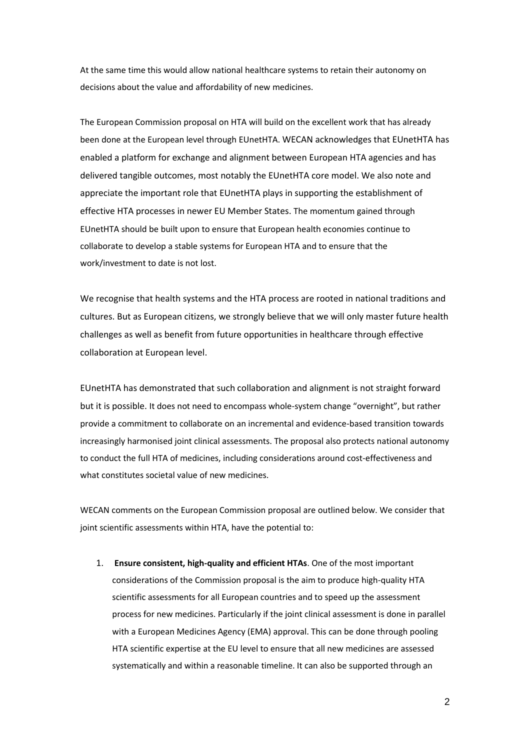At the same time this would allow national healthcare systems to retain their autonomy on decisions about the value and affordability of new medicines.

The European Commission proposal on HTA will build on the excellent work that has already been done at the European level through EUnetHTA. WECAN acknowledges that EUnetHTA has enabled a platform for exchange and alignment between European HTA agencies and has delivered tangible outcomes, most notably the EUnetHTA core model. We also note and appreciate the important role that EUnetHTA plays in supporting the establishment of effective HTA processes in newer EU Member States. The momentum gained through EUnetHTA should be built upon to ensure that European health economies continue to collaborate to develop a stable systems for European HTA and to ensure that the work/investment to date is not lost.

We recognise that health systems and the HTA process are rooted in national traditions and cultures. But as European citizens, we strongly believe that we will only master future health challenges as well as benefit from future opportunities in healthcare through effective collaboration at European level.

EUnetHTA has demonstrated that such collaboration and alignment is not straight forward but it is possible. It does not need to encompass whole-system change "overnight", but rather provide a commitment to collaborate on an incremental and evidence-based transition towards increasingly harmonised joint clinical assessments. The proposal also protects national autonomy to conduct the full HTA of medicines, including considerations around cost-effectiveness and what constitutes societal value of new medicines.

WECAN comments on the European Commission proposal are outlined below. We consider that joint scientific assessments within HTA, have the potential to:

1. **Ensure consistent, high-quality and efficient HTAs**. One of the most important considerations of the Commission proposal is the aim to produce high-quality HTA scientific assessments for all European countries and to speed up the assessment process for new medicines. Particularly if the joint clinical assessment is done in parallel with a European Medicines Agency (EMA) approval. This can be done through pooling HTA scientific expertise at the EU level to ensure that all new medicines are assessed systematically and within a reasonable timeline. It can also be supported through an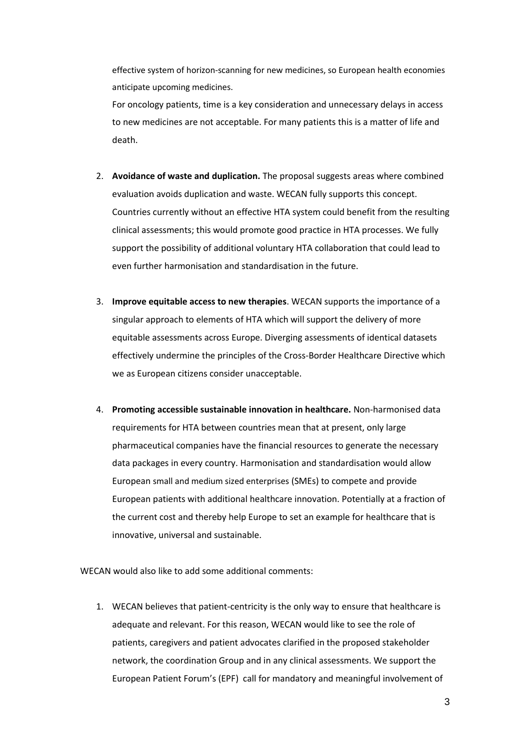effective system of horizon-scanning for new medicines, so European health economies anticipate upcoming medicines.

For oncology patients, time is a key consideration and unnecessary delays in access to new medicines are not acceptable. For many patients this is a matter of life and death.

- 2. **Avoidance of waste and duplication.** The proposal suggests areas where combined evaluation avoids duplication and waste. WECAN fully supports this concept. Countries currently without an effective HTA system could benefit from the resulting clinical assessments; this would promote good practice in HTA processes. We fully support the possibility of additional voluntary HTA collaboration that could lead to even further harmonisation and standardisation in the future.
- 3. **Improve equitable access to new therapies**. WECAN supports the importance of a singular approach to elements of HTA which will support the delivery of more equitable assessments across Europe. Diverging assessments of identical datasets effectively undermine the principles of the Cross-Border Healthcare Directive which we as European citizens consider unacceptable.
- 4. **Promoting accessible sustainable innovation in healthcare.** Non-harmonised data requirements for HTA between countries mean that at present, only large pharmaceutical companies have the financial resources to generate the necessary data packages in every country. Harmonisation and standardisation would allow European small and medium sized enterprises (SMEs) to compete and provide European patients with additional healthcare innovation. Potentially at a fraction of the current cost and thereby help Europe to set an example for healthcare that is innovative, universal and sustainable.

WECAN would also like to add some additional comments:

1. WECAN believes that patient-centricity is the only way to ensure that healthcare is adequate and relevant. For this reason, WECAN would like to see the role of patients, caregivers and patient advocates clarified in the proposed stakeholder network, the coordination Group and in any clinical assessments. We support the European Patient Forum's (EPF) call for mandatory and meaningful involvement of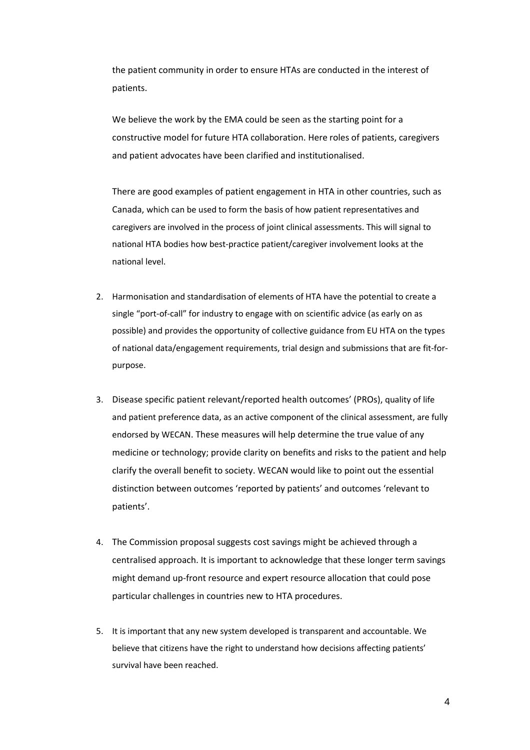the patient community in order to ensure HTAs are conducted in the interest of patients.

We believe the work by the EMA could be seen as the starting point for a constructive model for future HTA collaboration. Here roles of patients, caregivers and patient advocates have been clarified and institutionalised.

There are good examples of patient engagement in HTA in other countries, such as Canada, which can be used to form the basis of how patient representatives and caregivers are involved in the process of joint clinical assessments. This will signal to national HTA bodies how best-practice patient/caregiver involvement looks at the national level.

- 2. Harmonisation and standardisation of elements of HTA have the potential to create a single "port-of-call" for industry to engage with on scientific advice (as early on as possible) and provides the opportunity of collective guidance from EU HTA on the types of national data/engagement requirements, trial design and submissions that are fit-forpurpose.
- 3. Disease specific patient relevant/reported health outcomes' (PROs), quality of life and patient preference data, as an active component of the clinical assessment, are fully endorsed by WECAN. These measures will help determine the true value of any medicine or technology; provide clarity on benefits and risks to the patient and help clarify the overall benefit to society. WECAN would like to point out the essential distinction between outcomes 'reported by patients' and outcomes 'relevant to patients'.
- 4. The Commission proposal suggests cost savings might be achieved through a centralised approach. It is important to acknowledge that these longer term savings might demand up-front resource and expert resource allocation that could pose particular challenges in countries new to HTA procedures.
- 5. It is important that any new system developed is transparent and accountable. We believe that citizens have the right to understand how decisions affecting patients' survival have been reached.